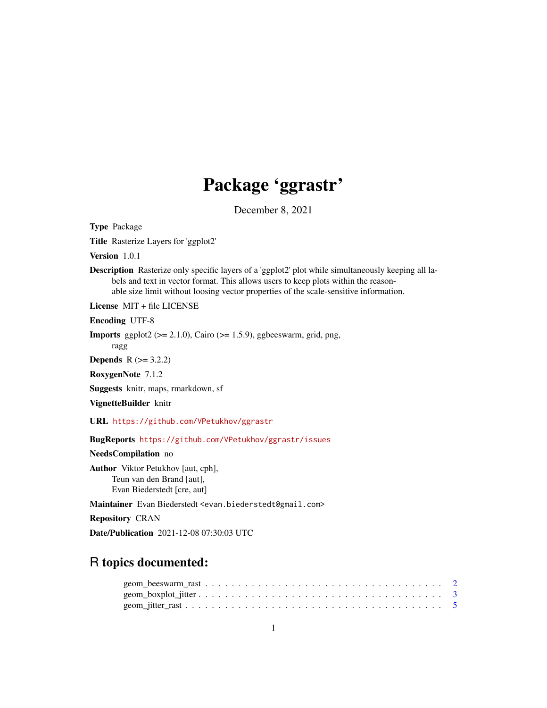## Package 'ggrastr'

December 8, 2021

<span id="page-0-0"></span>Type Package

Title Rasterize Layers for 'ggplot2'

Version 1.0.1

Description Rasterize only specific layers of a 'ggplot2' plot while simultaneously keeping all labels and text in vector format. This allows users to keep plots within the reasonable size limit without loosing vector properties of the scale-sensitive information.

License MIT + file LICENSE

Encoding UTF-8

**Imports** ggplot2 ( $>= 2.1.0$ ), Cairo ( $>= 1.5.9$ ), ggbeeswarm, grid, png, ragg

**Depends**  $R (= 3.2.2)$ 

RoxygenNote 7.1.2

Suggests knitr, maps, rmarkdown, sf

VignetteBuilder knitr

URL <https://github.com/VPetukhov/ggrastr>

BugReports <https://github.com/VPetukhov/ggrastr/issues>

NeedsCompilation no

Author Viktor Petukhov [aut, cph], Teun van den Brand [aut], Evan Biederstedt [cre, aut]

Maintainer Evan Biederstedt <evan.biederstedt@gmail.com>

Repository CRAN

Date/Publication 2021-12-08 07:30:03 UTC

### R topics documented: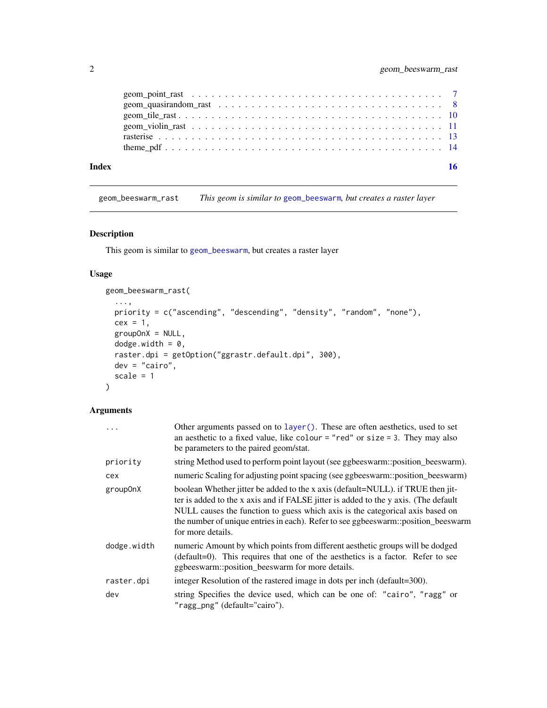<span id="page-1-0"></span>

| Index |  |
|-------|--|
|       |  |
|       |  |
|       |  |
|       |  |
|       |  |
|       |  |

geom\_beeswarm\_rast *This geom is similar to* [geom\\_beeswarm](#page-0-0)*, but creates a raster layer*

#### Description

This geom is similar to [geom\\_beeswarm](#page-0-0), but creates a raster layer

#### Usage

```
geom_beeswarm_rast(
  ...,
 priority = c("ascending", "descending", "density", "random", "none"),
 cex = 1,
 groupOnX = NULL,dodge.width = 0,
 raster.dpi = getOption("ggrastr.default.dpi", 300),
 dev = "cairo",scale = 1)
```

| $\ddotsc$   | Other arguments passed on to layer (). These are often aesthetics, used to set<br>an aesthetic to a fixed value, like colour = "red" or size = 3. They may also<br>be parameters to the paired geom/stat.                                                                                                                                                         |
|-------------|-------------------------------------------------------------------------------------------------------------------------------------------------------------------------------------------------------------------------------------------------------------------------------------------------------------------------------------------------------------------|
| priority    | string Method used to perform point layout (see ggbeeswarm::position_beeswarm).                                                                                                                                                                                                                                                                                   |
| cex         | numeric Scaling for adjusting point spacing (see ggbeeswarm: position_beeswarm)                                                                                                                                                                                                                                                                                   |
| group0nX    | boolean Whether jitter be added to the x axis (default=NULL). if TRUE then jit-<br>ter is added to the x axis and if FALSE jitter is added to the y axis. (The default<br>NULL causes the function to guess which axis is the categorical axis based on<br>the number of unique entries in each). Refer to see ggbeeswarm::position_beeswarm<br>for more details. |
| dodge.width | numeric Amount by which points from different aesthetic groups will be dodged<br>(default=0). This requires that one of the aesthetics is a factor. Refer to see<br>ggbeeswarm::position_beeswarm for more details.                                                                                                                                               |
| raster.dpi  | integer Resolution of the rastered image in dots per inch (default=300).                                                                                                                                                                                                                                                                                          |
| dev         | string Specifies the device used, which can be one of: "cairo", "ragg" or<br>"ragg_png" (default="cairo").                                                                                                                                                                                                                                                        |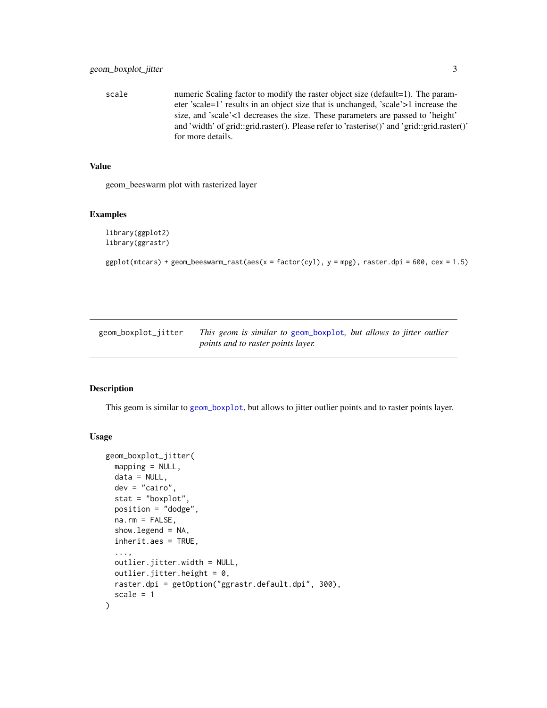<span id="page-2-0"></span>scale numeric Scaling factor to modify the raster object size (default=1). The parameter 'scale=1' results in an object size that is unchanged, 'scale'>1 increase the size, and 'scale'<1 decreases the size. These parameters are passed to 'height' and 'width' of grid::grid.raster(). Please refer to 'rasterise()' and 'grid::grid.raster()' for more details.

#### Value

geom\_beeswarm plot with rasterized layer

#### Examples

```
library(ggplot2)
library(ggrastr)
```
 $ggplot(mtcars) + geom_beeswarm_rrast(aes(x = factor(cyl), y = mpg), raster.dpi = 600, cex = 1.5)$ 

| geom_boxplot_jitter | This geom is similar to geom_boxplot, but allows to jitter outlier |
|---------------------|--------------------------------------------------------------------|
|                     | <i>points and to raster points layer.</i>                          |

#### Description

This geom is similar to [geom\\_boxplot](#page-0-0), but allows to jitter outlier points and to raster points layer.

#### Usage

```
geom_boxplot_jitter(
 mapping = NULL,data = NULL,
  dev = "cairo",
  stat = "boxplot",
  position = "dodge",
  na.rm = FALSE,show.legend = NA,
  inherit.aes = TRUE,
  ...,
 outlier.jitter.width = NULL,
 outlier.jitter.height = 0,
 raster.dpi = getOption("ggrastr.default.dpi", 300),
  scale = 1)
```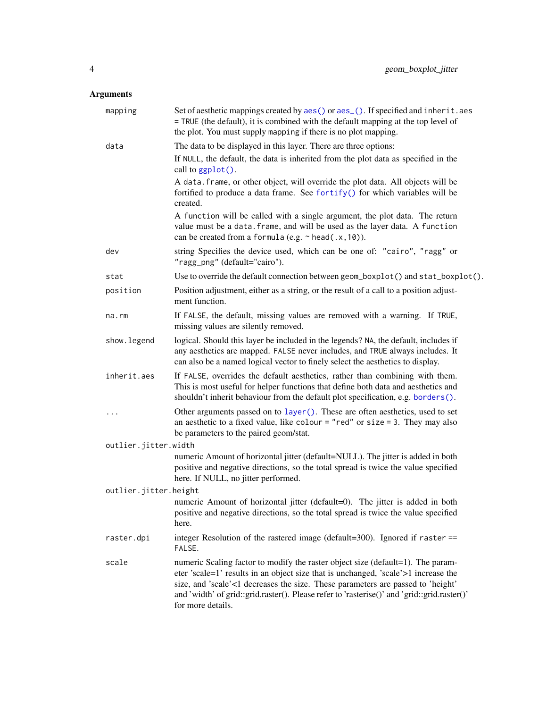<span id="page-3-0"></span>

| mapping               | Set of aesthetic mappings created by aes() or aes_(). If specified and inherit.aes<br>= TRUE (the default), it is combined with the default mapping at the top level of<br>the plot. You must supply mapping if there is no plot mapping.                                                                                                                                    |
|-----------------------|------------------------------------------------------------------------------------------------------------------------------------------------------------------------------------------------------------------------------------------------------------------------------------------------------------------------------------------------------------------------------|
| data                  | The data to be displayed in this layer. There are three options:                                                                                                                                                                                                                                                                                                             |
|                       | If NULL, the default, the data is inherited from the plot data as specified in the<br>call to ggplot().                                                                                                                                                                                                                                                                      |
|                       | A data. frame, or other object, will override the plot data. All objects will be<br>fortified to produce a data frame. See fortify() for which variables will be<br>created.                                                                                                                                                                                                 |
|                       | A function will be called with a single argument, the plot data. The return<br>value must be a data. frame, and will be used as the layer data. A function<br>can be created from a formula (e.g. $\sim$ head(.x, 10)).                                                                                                                                                      |
| dev                   | string Specifies the device used, which can be one of: "cairo", "ragg" or<br>"ragg_png" (default="cairo").                                                                                                                                                                                                                                                                   |
| stat                  | Use to override the default connection between geom_boxplot() and stat_boxplot().                                                                                                                                                                                                                                                                                            |
| position              | Position adjustment, either as a string, or the result of a call to a position adjust-<br>ment function.                                                                                                                                                                                                                                                                     |
| na.rm                 | If FALSE, the default, missing values are removed with a warning. If TRUE,<br>missing values are silently removed.                                                                                                                                                                                                                                                           |
| show.legend           | logical. Should this layer be included in the legends? NA, the default, includes if<br>any aesthetics are mapped. FALSE never includes, and TRUE always includes. It<br>can also be a named logical vector to finely select the aesthetics to display.                                                                                                                       |
| inherit.aes           | If FALSE, overrides the default aesthetics, rather than combining with them.<br>This is most useful for helper functions that define both data and aesthetics and<br>shouldn't inherit behaviour from the default plot specification, e.g. borders().                                                                                                                        |
| $\cdots$              | Other arguments passed on to layer (). These are often aesthetics, used to set<br>an aesthetic to a fixed value, like colour = "red" or size = 3. They may also<br>be parameters to the paired geom/stat.                                                                                                                                                                    |
| outlier.jitter.width  |                                                                                                                                                                                                                                                                                                                                                                              |
|                       | numeric Amount of horizontal jitter (default=NULL). The jitter is added in both<br>positive and negative directions, so the total spread is twice the value specified<br>here. If NULL, no jitter performed.                                                                                                                                                                 |
| outlier.jitter.height |                                                                                                                                                                                                                                                                                                                                                                              |
|                       | numeric Amount of horizontal jitter (default=0). The jitter is added in both<br>positive and negative directions, so the total spread is twice the value specified<br>here.                                                                                                                                                                                                  |
| raster.dpi            | integer Resolution of the rastered image (default=300). Ignored if raster ==<br>FALSE.                                                                                                                                                                                                                                                                                       |
| scale                 | numeric Scaling factor to modify the raster object size (default=1). The param-<br>eter 'scale=1' results in an object size that is unchanged, 'scale'>1 increase the<br>size, and 'scale'<1 decreases the size. These parameters are passed to 'height'<br>and 'width' of grid::grid.raster(). Please refer to 'rasterise()' and 'grid::grid.raster()'<br>for more details. |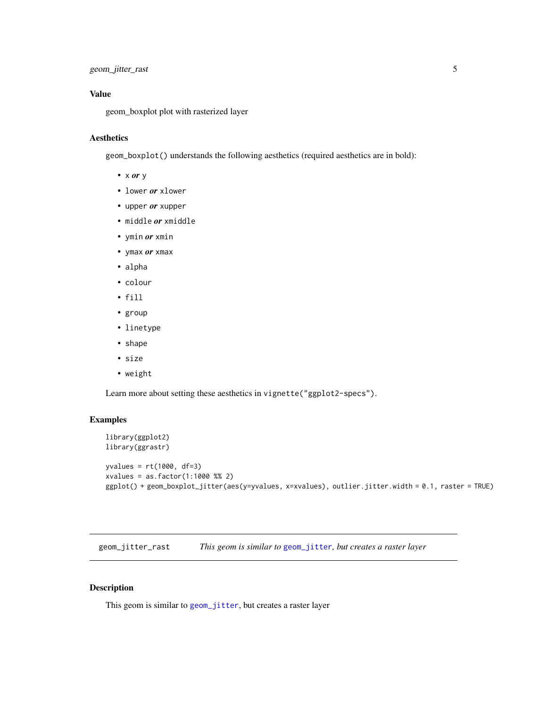#### <span id="page-4-0"></span>Value

geom\_boxplot plot with rasterized layer

#### Aesthetics

geom\_boxplot() understands the following aesthetics (required aesthetics are in bold):

- x *or* y
- lower *or* xlower
- upper *or* xupper
- middle *or* xmiddle
- ymin *or* xmin
- ymax *or* xmax
- alpha
- colour
- fill
- group
- linetype
- shape
- size
- weight

Learn more about setting these aesthetics in vignette("ggplot2-specs").

#### Examples

```
library(ggplot2)
library(ggrastr)
yvalues = rt(1000, df=3)
xvalues = as.factor(1:1000 %% 2)
ggplot() + geom_boxplot_jitter(aes(y=yvalues, x=xvalues), outlier.jitter.width = 0.1, raster = TRUE)
```
geom\_jitter\_rast *This geom is similar to* [geom\\_jitter](#page-0-0)*, but creates a raster layer*

#### Description

This geom is similar to [geom\\_jitter](#page-0-0), but creates a raster layer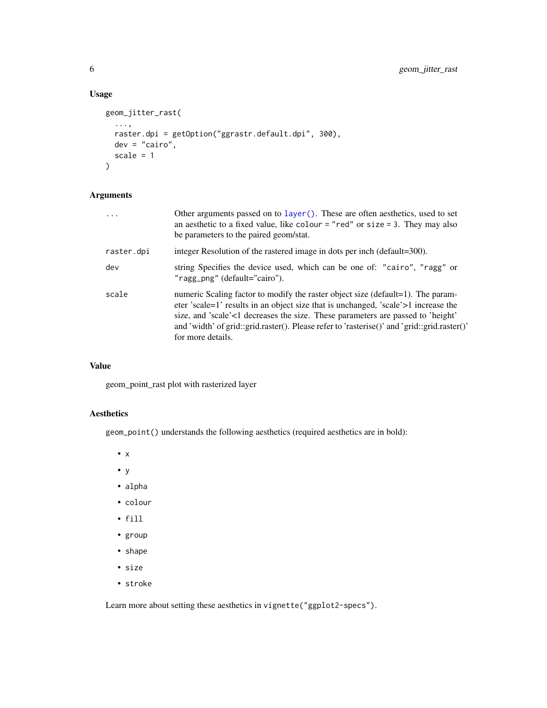#### Usage

```
geom_jitter_rast(
  ...,
 raster.dpi = getOption("ggrastr.default.dpi", 300),
 dev = "cairo",
 scale = 1
)
```
#### Arguments

| $\cdots$   | Other arguments passed on to layer (). These are often aesthetics, used to set<br>an aesthetic to a fixed value, like colour = "red" or size = 3. They may also<br>be parameters to the paired geom/stat.                                                                                                                                                                    |
|------------|------------------------------------------------------------------------------------------------------------------------------------------------------------------------------------------------------------------------------------------------------------------------------------------------------------------------------------------------------------------------------|
| raster.dpi | integer Resolution of the rastered image in dots per inch (default=300).                                                                                                                                                                                                                                                                                                     |
| dev        | string Specifies the device used, which can be one of: "cairo", "ragg" or<br>"ragg_png" (default="cairo").                                                                                                                                                                                                                                                                   |
| scale      | numeric Scaling factor to modify the raster object size (default=1). The param-<br>eter 'scale=1' results in an object size that is unchanged, 'scale'>1 increase the<br>size, and 'scale'<1 decreases the size. These parameters are passed to 'height'<br>and 'width' of grid::grid.raster(). Please refer to 'rasterise()' and 'grid::grid.raster()'<br>for more details. |

#### Value

geom\_point\_rast plot with rasterized layer

#### Aesthetics

geom\_point() understands the following aesthetics (required aesthetics are in bold):

• x

- y
- alpha
- colour
- fill
- group
- shape
- size
- stroke

Learn more about setting these aesthetics in vignette("ggplot2-specs").

<span id="page-5-0"></span>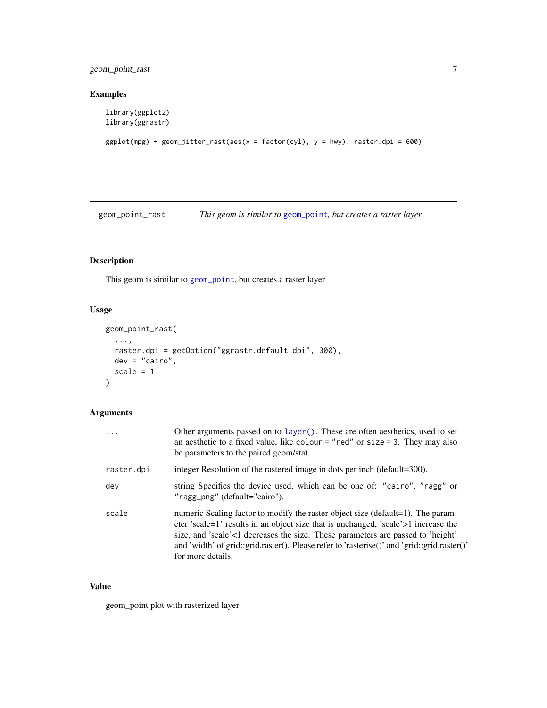<span id="page-6-0"></span>geom\_point\_rast 7

#### Examples

```
library(ggplot2)
library(ggrastr)
```

```
ggplot(mpg) + geom_jitter_rast(aes(x = factor(cyl), y = hwy), raster.dpi = 600)
```
geom\_point\_rast *This geom is similar to* [geom\\_point](#page-0-0)*, but creates a raster layer*

#### Description

This geom is similar to [geom\\_point](#page-0-0), but creates a raster layer

#### Usage

```
geom_point_rast(
  ...,
 raster.dpi = getOption("ggrastr.default.dpi", 300),
 dev = "cairo",scale = 1
)
```
#### Arguments

| $\cdots$   | Other arguments passed on to layer (). These are often aesthetics, used to set<br>an aesthetic to a fixed value, like colour = "red" or size = 3. They may also<br>be parameters to the paired geom/stat.                                                                                                                                                                    |
|------------|------------------------------------------------------------------------------------------------------------------------------------------------------------------------------------------------------------------------------------------------------------------------------------------------------------------------------------------------------------------------------|
| raster.dpi | integer Resolution of the rastered image in dots per inch (default=300).                                                                                                                                                                                                                                                                                                     |
| dev        | string Specifies the device used, which can be one of: "cairo", "ragg" or<br>"ragg_png" (default="cairo").                                                                                                                                                                                                                                                                   |
| scale      | numeric Scaling factor to modify the raster object size (default=1). The param-<br>eter 'scale=1' results in an object size that is unchanged, 'scale'>1 increase the<br>size, and 'scale'<1 decreases the size. These parameters are passed to 'height'<br>and 'width' of grid::grid.raster(). Please refer to 'rasterise()' and 'grid::grid.raster()'<br>for more details. |

#### Value

geom\_point plot with rasterized layer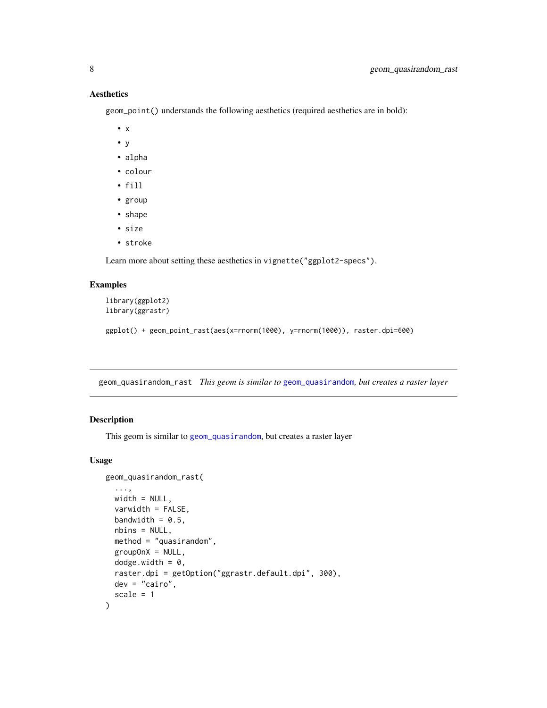#### Aesthetics

geom\_point() understands the following aesthetics (required aesthetics are in bold):

- x
- y
- alpha
- colour
- fill
- group
- shape
- size
- stroke

Learn more about setting these aesthetics in vignette("ggplot2-specs").

#### Examples

```
library(ggplot2)
library(ggrastr)
ggplot() + geom_point_rast(aes(x=rnorm(1000), y=rnorm(1000)), raster.dpi=600)
```
geom\_quasirandom\_rast *This geom is similar to* [geom\\_quasirandom](#page-0-0)*, but creates a raster layer*

#### Description

This geom is similar to [geom\\_quasirandom](#page-0-0), but creates a raster layer

#### Usage

```
geom_quasirandom_rast(
  ...,
 width = NULL,varwidth = FALSE,bandwidth = 0.5,
 nbins = NULL,
 method = "quasirandom",
 groupOnX = NULL,dodge.width = 0,
 raster.dpi = getOption("ggrastr.default.dpi", 300),
 dev = "cairo",
  scale = 1)
```
<span id="page-7-0"></span>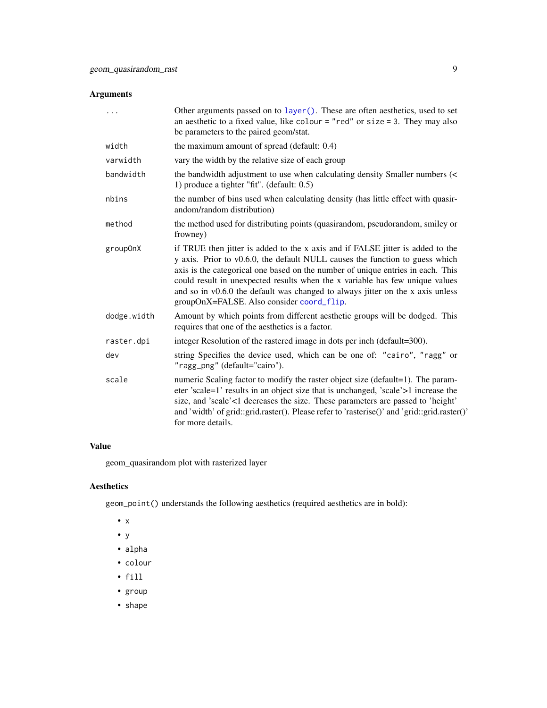#### <span id="page-8-0"></span>Arguments

| .           | Other arguments passed on to layer (). These are often aesthetics, used to set<br>an aesthetic to a fixed value, like colour = "red" or size = 3. They may also<br>be parameters to the paired geom/stat.                                                                                                                                                                                                                                                        |
|-------------|------------------------------------------------------------------------------------------------------------------------------------------------------------------------------------------------------------------------------------------------------------------------------------------------------------------------------------------------------------------------------------------------------------------------------------------------------------------|
| width       | the maximum amount of spread (default: 0.4)                                                                                                                                                                                                                                                                                                                                                                                                                      |
| varwidth    | vary the width by the relative size of each group                                                                                                                                                                                                                                                                                                                                                                                                                |
| bandwidth   | the bandwidth adjustment to use when calculating density Smaller numbers (<<br>1) produce a tighter "fit". (default: 0.5)                                                                                                                                                                                                                                                                                                                                        |
| nbins       | the number of bins used when calculating density (has little effect with quasir-<br>andom/random distribution)                                                                                                                                                                                                                                                                                                                                                   |
| method      | the method used for distributing points (quasirandom, pseudorandom, smiley or<br>frowney)                                                                                                                                                                                                                                                                                                                                                                        |
| group0nX    | if TRUE then jitter is added to the x axis and if FALSE jitter is added to the<br>y axis. Prior to v0.6.0, the default NULL causes the function to guess which<br>axis is the categorical one based on the number of unique entries in each. This<br>could result in unexpected results when the x variable has few unique values<br>and so in v0.6.0 the default was changed to always jitter on the x axis unless<br>groupOnX=FALSE. Also consider coord_flip. |
| dodge.width | Amount by which points from different aesthetic groups will be dodged. This<br>requires that one of the aesthetics is a factor.                                                                                                                                                                                                                                                                                                                                  |
| raster.dpi  | integer Resolution of the rastered image in dots per inch (default=300).                                                                                                                                                                                                                                                                                                                                                                                         |
| dev         | string Specifies the device used, which can be one of: "cairo", "ragg" or<br>"ragg_png" (default="cairo").                                                                                                                                                                                                                                                                                                                                                       |
| scale       | numeric Scaling factor to modify the raster object size (default=1). The param-<br>eter 'scale=1' results in an object size that is unchanged, 'scale'>1 increase the<br>size, and 'scale'<1 decreases the size. These parameters are passed to 'height'<br>and 'width' of grid::grid.raster(). Please refer to 'rasterise()' and 'grid::grid.raster()'<br>for more details.                                                                                     |

#### Value

geom\_quasirandom plot with rasterized layer

#### Aesthetics

geom\_point() understands the following aesthetics (required aesthetics are in bold):

- x
- y
- alpha
- colour
- fill
- group
- shape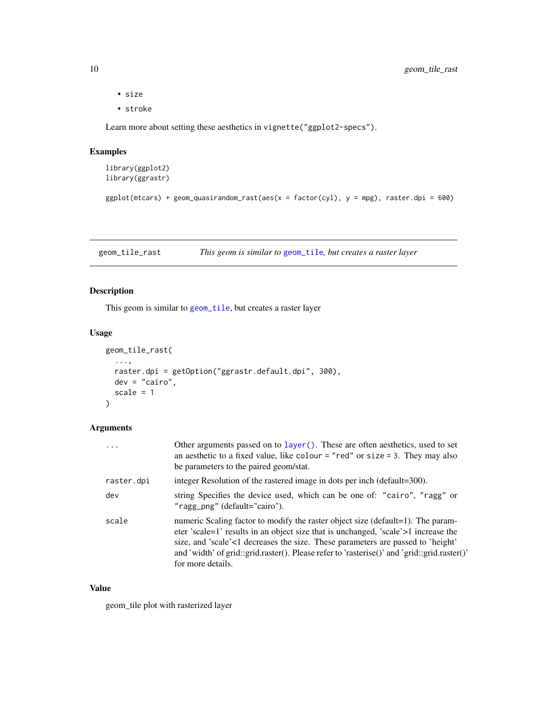- size
- stroke

Learn more about setting these aesthetics in vignette("ggplot2-specs").

#### Examples

```
library(ggplot2)
library(ggrastr)
```

```
ggplot(mtcars) + geom-quasirandom_rrast(aes(x = factor(cyl), y = mpg), raster.dpi = 600)
```
geom\_tile\_rast *This geom is similar to* [geom\\_tile](#page-0-0)*, but creates a raster layer*

#### Description

This geom is similar to [geom\\_tile](#page-0-0), but creates a raster layer

#### Usage

```
geom_tile_rast(
  ...,
 raster.dpi = getOption("ggrastr.default.dpi", 300),
 dev = "cairo",scale = 1
)
```
#### Arguments

| $\cdots$   | Other arguments passed on to layer (). These are often aesthetics, used to set<br>an aesthetic to a fixed value, like colour = "red" or size = 3. They may also<br>be parameters to the paired geom/stat.                                                                                                                                                                    |
|------------|------------------------------------------------------------------------------------------------------------------------------------------------------------------------------------------------------------------------------------------------------------------------------------------------------------------------------------------------------------------------------|
| raster.dpi | integer Resolution of the rastered image in dots per inch (default=300).                                                                                                                                                                                                                                                                                                     |
| dev        | string Specifies the device used, which can be one of: "cairo", "ragg" or<br>"ragg_png" (default="cairo").                                                                                                                                                                                                                                                                   |
| scale      | numeric Scaling factor to modify the raster object size (default=1). The param-<br>eter 'scale=1' results in an object size that is unchanged, 'scale'>1 increase the<br>size, and 'scale'<1 decreases the size. These parameters are passed to 'height'<br>and 'width' of grid::grid.raster(). Please refer to 'rasterise()' and 'grid::grid.raster()'<br>for more details. |

#### Value

geom\_tile plot with rasterized layer

<span id="page-9-0"></span>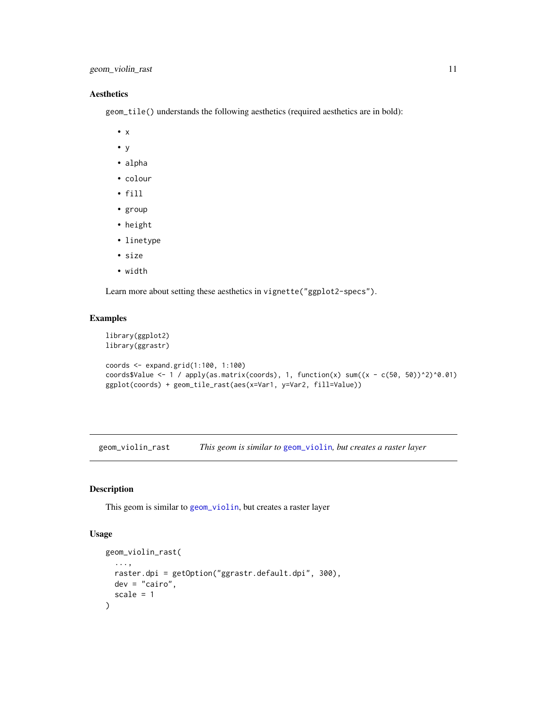#### <span id="page-10-0"></span>Aesthetics

geom\_tile() understands the following aesthetics (required aesthetics are in bold):

- x
- y
- alpha
- colour
- fill
- group
- height
- linetype
- size
- width

Learn more about setting these aesthetics in vignette("ggplot2-specs").

#### Examples

```
library(ggplot2)
library(ggrastr)
coords <- expand.grid(1:100, 1:100)
coords$Value <- 1 / apply(as.matrix(coords), 1, function(x) sum((x - c(50, 50))^2)^0.01)
```

```
ggplot(coords) + geom_tile_rast(aes(x=Var1, y=Var2, fill=Value))
```
geom\_violin\_rast *This geom is similar to* [geom\\_violin](#page-0-0)*, but creates a raster layer*

#### Description

This geom is similar to [geom\\_violin](#page-0-0), but creates a raster layer

#### Usage

```
geom_violin_rast(
  ...,
 raster.dpi = getOption("ggrastr.default.dpi", 300),
 dev = "cairo",
  scale = 1)
```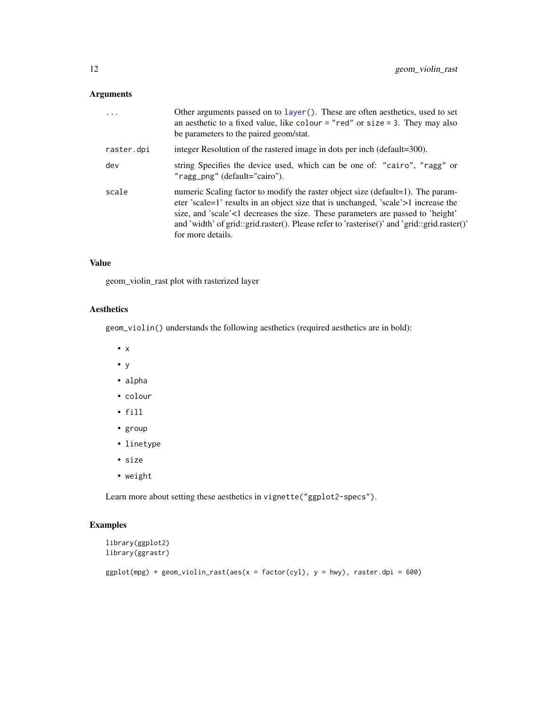#### <span id="page-11-0"></span>Arguments

| .          | Other arguments passed on to layer (). These are often aesthetics, used to set<br>an aesthetic to a fixed value, like colour = "red" or size = 3. They may also<br>be parameters to the paired geom/stat.                                                                                                                                                                    |
|------------|------------------------------------------------------------------------------------------------------------------------------------------------------------------------------------------------------------------------------------------------------------------------------------------------------------------------------------------------------------------------------|
| raster.dpi | integer Resolution of the rastered image in dots per inch (default=300).                                                                                                                                                                                                                                                                                                     |
| dev        | string Specifies the device used, which can be one of: "cairo", "ragg" or<br>"ragg_png" (default="cairo").                                                                                                                                                                                                                                                                   |
| scale      | numeric Scaling factor to modify the raster object size (default=1). The param-<br>eter 'scale=1' results in an object size that is unchanged, 'scale'>1 increase the<br>size, and 'scale'<1 decreases the size. These parameters are passed to 'height'<br>and 'width' of grid::grid.raster(). Please refer to 'rasterise()' and 'grid::grid.raster()'<br>for more details. |

#### Value

geom\_violin\_rast plot with rasterized layer

#### Aesthetics

geom\_violin() understands the following aesthetics (required aesthetics are in bold):

- x
- $\bullet$  y
- alpha
- colour
- fill
- group
- linetype
- size
- weight

Learn more about setting these aesthetics in vignette("ggplot2-specs").

#### Examples

```
library(ggplot2)
library(ggrastr)
ggplot(mpg) + geom\_violin\_rast(aes(x = factor(cyl), y = hwy), raster.dpi = 600)
```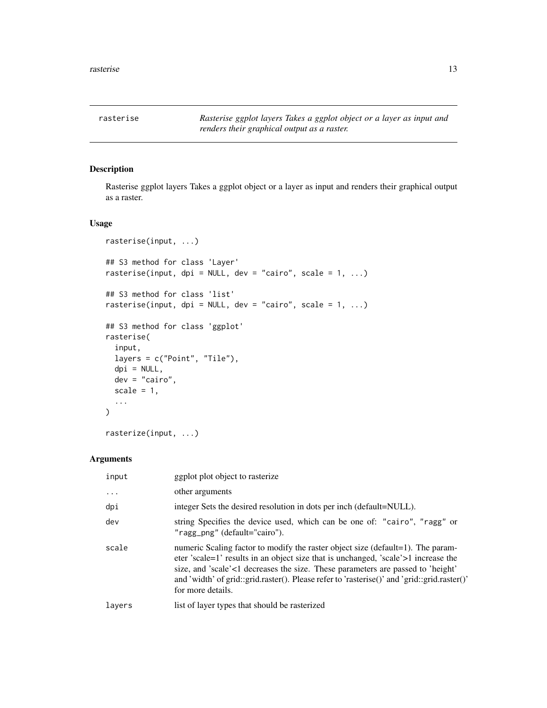<span id="page-12-0"></span>

#### Description

Rasterise ggplot layers Takes a ggplot object or a layer as input and renders their graphical output as a raster.

#### Usage

```
rasterise(input, ...)
## S3 method for class 'Layer'
rasterise(input, dpi = NULL, dev = "cairo", scale = 1, ...)
## S3 method for class 'list'
rasterise(input, dpi = NULL, dev = "cairo", scale = 1, ...)
## S3 method for class 'ggplot'
rasterise(
  input,
  layers = c("Point", "Tile"),
 dpi = NULL,dev = "cairo",
  scale = 1,
  ...
)
```
rasterize(input, ...)

| input     | ggplot plot object to rasterize                                                                                                                                                                                                                                                                                                                                              |
|-----------|------------------------------------------------------------------------------------------------------------------------------------------------------------------------------------------------------------------------------------------------------------------------------------------------------------------------------------------------------------------------------|
| $\ddotsc$ | other arguments                                                                                                                                                                                                                                                                                                                                                              |
| dpi       | integer Sets the desired resolution in dots per inch (default=NULL).                                                                                                                                                                                                                                                                                                         |
| dev       | string Specifies the device used, which can be one of: "cairo", "ragg" or<br>"ragg_png" (default="cairo").                                                                                                                                                                                                                                                                   |
| scale     | numeric Scaling factor to modify the raster object size (default=1). The param-<br>eter 'scale=1' results in an object size that is unchanged, 'scale'>1 increase the<br>size, and 'scale'<1 decreases the size. These parameters are passed to 'height'<br>and 'width' of grid::grid.raster(). Please refer to 'rasterise()' and 'grid::grid.raster()'<br>for more details. |
| layers    | list of layer types that should be rasterized                                                                                                                                                                                                                                                                                                                                |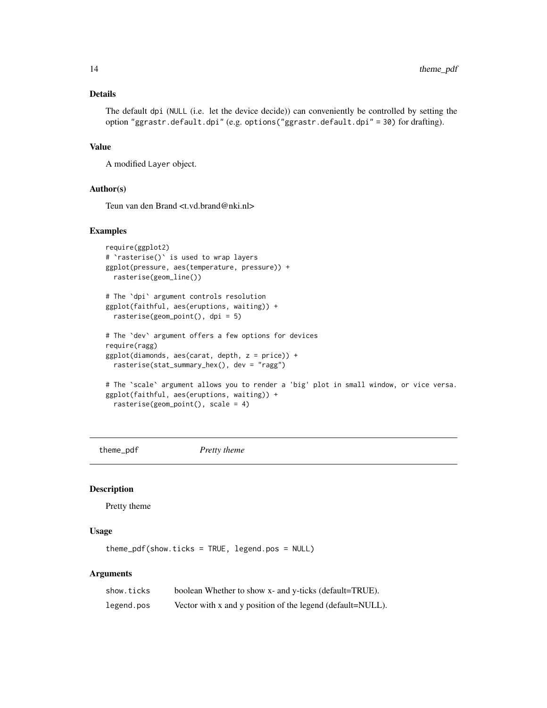#### <span id="page-13-0"></span>Details

The default dpi (NULL (i.e. let the device decide)) can conveniently be controlled by setting the option "ggrastr.default.dpi" (e.g. options("ggrastr.default.dpi" = 30) for drafting).

#### Value

A modified Layer object.

#### Author(s)

Teun van den Brand <t.vd.brand@nki.nl>

#### Examples

```
require(ggplot2)
# `rasterise()` is used to wrap layers
ggplot(pressure, aes(temperature, pressure)) +
 rasterise(geom_line())
# The `dpi` argument controls resolution
ggplot(faithful, aes(eruptions, waiting)) +
 rasterise(geom_point(), dpi = 5)
# The `dev` argument offers a few options for devices
require(ragg)
ggplot(diamonds, aes(carat, depth, z = price)) +
 rasterise(stat_summary_hex(), dev = "ragg")
# The `scale` argument allows you to render a 'big' plot in small window, or vice versa.
ggplot(faithful, aes(eruptions, waiting)) +
 rasterise(geom_point(), scale = 4)
```
theme\_pdf *Pretty theme*

#### Description

Pretty theme

#### Usage

theme\_pdf(show.ticks = TRUE, legend.pos = NULL)

| show.ticks | boolean Whether to show x- and y-ticks (default=TRUE).     |
|------------|------------------------------------------------------------|
| legend.pos | Vector with x and y position of the legend (default=NULL). |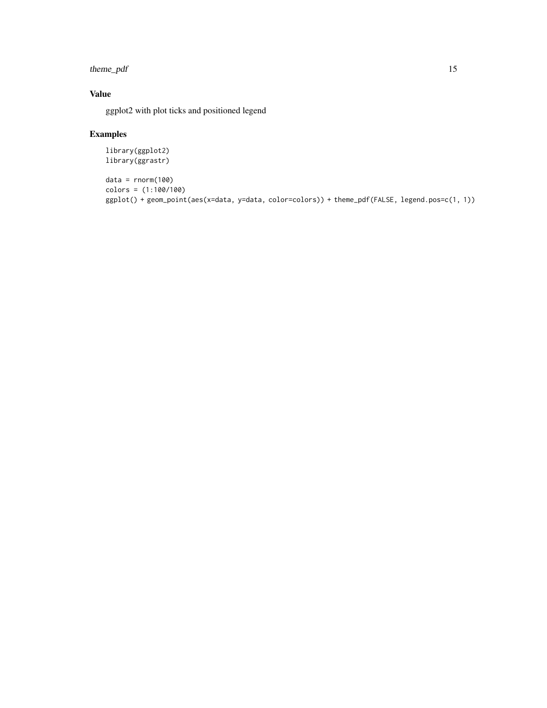#### theme\_pdf 15

#### Value

ggplot2 with plot ticks and positioned legend

#### Examples

```
library(ggplot2)
library(ggrastr)
```

```
data = rnorm(100)
colors = (1:100/100)
ggplot() + geom_point(aes(x=data, y=data, color=colors)) + theme_pdf(FALSE, legend.pos=c(1, 1))
```